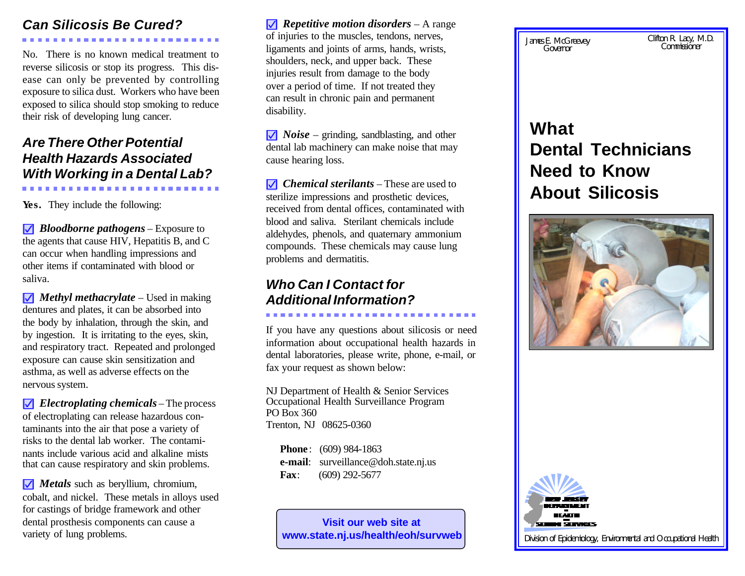## *Can Silicosis Be Cured?*

No. There is no known medical treatment to reverse silicosis or stop its progress. This disease can only be prevented by controlling exposure to silica dust. Workers who have been exposed to silica should stop smoking to reduce their risk of developing lung cancer.

## *Are There Other Potential Health Hazards Associated With Working in a Dental Lab?*

**Yes.** They include the following:

**)** *Bloodborne pathogens* – Exposure to the agents that cause HIV, Hepatitis B, and C can occur when handling impressions and other items if contaminated with blood or saliva.

**)** *Methyl methacrylate* – Used in making dentures and plates, it can be absorbed into the body by inhalation, through the skin, and by ingestion. It is irritating to the eyes, skin, and respiratory tract. Repeated and prolonged exposure can cause skin sensitization and asthma, as well as adverse effects on the nervous system.

**)** *Electroplating chemicals* – The process of electroplating can release hazardous contaminants into the air that pose a variety of risks to the dental lab worker. The contaminants include various acid and alkaline mists that can cause respiratory and skin problems.

*Metals* such as beryllium, chromium, cobalt, and nickel. These metals in alloys used for castings of bridge framework and other dental prosthesis components can cause a variety of lung problems.

**)** *Repetitive motion disorders* – A range of injuries to the muscles, tendons, nerves, ligaments and joints of arms, hands, wrists, shoulders, neck, and upper back. These injuries result from damage to the body over a period of time. If not treated they can result in chronic pain and permanent disability.

**)** *Noise* – grinding, sandblasting, and other dental lab machinery can make noise that may cause hearing loss.

**)** *Chemical sterilants* – These are used to sterilize impressions and prosthetic devices, received from dental offices, contaminated with blood and saliva. Sterilant chemicals include aldehydes, phenols, and quaternary ammonium compounds. These chemicals may cause lung problems and dermatitis.

## *Who Can I Contact for Additional Information?*

If you have any questions about silicosis or need information about occupational health hazards in dental laboratories, please write, phone, e-mail, or fax your request as shown below:

NJ Department of Health & Senior Services Occupational Health Surveillance Program PO Box 360 Trenton, NJ 08625-0360

**Phone**: (609) 984-1863  **e-mail**: surveillance@doh.state.nj.us  **Fax**: (609) 292-5677

**Visit our web site at www.state.nj.us/health/eoh/survweb** James E. McGreevey *Governor*

Clifton R. Lacy, M.D.

# **What Dental Technicians Need to Know About Silicosis**